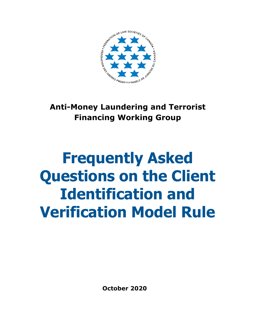

## **Anti-Money Laundering and Terrorist Financing Working Group**

# **Frequently Asked Questions on the Client Identification and Verification Model Rule**

**October 2020**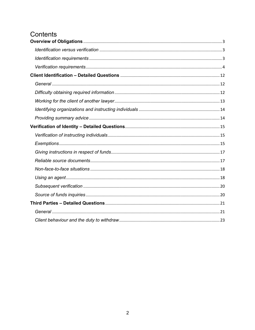## Contents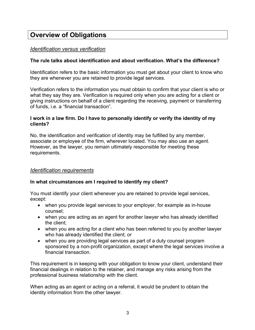## **Overview of Obligations**

#### *Identification versus verification*

#### **The rule talks about identification and about verification. What's the difference?**

Identification refers to the basic information you must get about your client to know who they are whenever you are retained to provide legal services.

Verification refers to the information you must obtain to confirm that your client is who or what they say they are. Verification is required only when you are acting for a client or giving instructions on behalf of a client regarding the receiving, payment or transferring of funds, i.e. a "financial transaction".

#### **I work in a law firm. Do I have to personally identify or verify the identity of my clients?**

No, the identification and verification of identity may be fulfilled by any member, associate or employee of the firm, wherever located. You may also use an agent. However, as the lawyer, you remain ultimately responsible for meeting these requirements.

#### *Identification requirements*

#### **In what circumstances am I required to identify my client?**

You must identify your client whenever you are retained to provide legal services, except:

- when you provide legal services to your employer, for example as in-house counsel;
- when you are acting as an agent for another lawyer who has already identified the client;
- when you are acting for a client who has been referred to you by another lawyer who has already identified the client; or
- when you are providing legal services as part of a duty counsel program sponsored by a non-profit organization, except where the legal services involve a financial transaction.

This requirement is in keeping with your obligation to know your client, understand their financial dealings in relation to the retainer, and manage any risks arising from the professional business relationship with the client.

When acting as an agent or acting on a referral, it would be prudent to obtain the identity information from the other lawyer.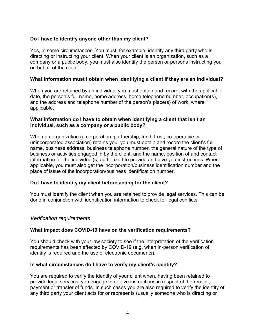#### **Do I have to identify anyone other than my client?**

Yes, in some circumstances. You must, for example, identify any third party who is directing or instructing your client. When your client is an organization, such as a company or a public body, you must also identify the person or persons instructing you on behalf of the client.

#### **What information must I obtain when identifying a client if they are an individual?**

When you are retained by an individual you must obtain and record, with the applicable date, the person's full name, home address, home telephone number, occupation(s), and the address and telephone number of the person's place(s) of work, where applicable.

#### **What information do I have to obtain when identifying a client that isn't an individual, such as a company or a public body?**

When an organization (a corporation, partnership, fund, trust, co-operative or unincorporated association) retains you, you must obtain and record the client's full name, business address, business telephone number, the general nature of the type of business or activities engaged in by the client, and the name, position of and contact information for the individual(s) authorized to provide and give you instructions. Where applicable, you must also get the incorporation/business identification number and the place of issue of the incorporation/business identification number.

#### **Do I have to identify my client before acting for the client?**

You must identify the client when you are retained to provide legal services. This can be done in conjunction with identification information to check for legal conflicts.

#### *Verification requirements*

#### **What impact does COVID-19 have on the verification requirements?**

You should check with your law society to see if the interpretation of the verification requirements has been affected by COVID-19 (e.g. when in-person verification of identify is required and the use of electronic documents).

#### **In what circumstances do I have to verify my client's identity?**

You are required to verify the identity of your client when, having been retained to provide legal services, you engage in or give instructions in respect of the receipt, payment or transfer of funds. In such cases you are also required to verify the identity of any third party your client acts for or represents (usually someone who is directing or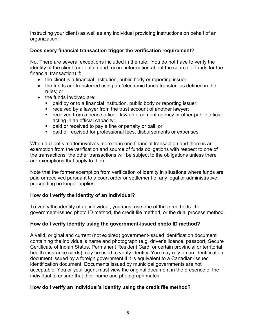instructing your client) as well as any individual providing instructions on behalf of an organization.

#### **Does every financial transaction trigger the verification requirement?**

No. There are several exceptions included in the rule. You do not have to verify the identity of the client (nor obtain and record information about the source of funds for the financial transaction) if:

- the client is a financial institution, public body or reporting issuer;
- the funds are transferred using an "electronic funds transfer" as defined in the rules; or
- the funds involved are:
	- paid by or to a financial institution, public body or reporting issuer;
	- received by a lawyer from the trust account of another lawyer;
	- received from a peace officer, law enforcement agency or other public official acting in an official capacity;
	- paid or received to pay a fine or penalty or bail; or
	- paid or received for professional fees, disbursements or expenses.

When a client's matter involves more than one financial transaction and there is an exemption from the verification and source of funds obligations with respect to one of the transactions, the other transactions will be subject to the obligations unless there are exemptions that apply to them.

Note that the former exemption from verification of identity in situations where funds are paid or received pursuant to a court order or settlement of any legal or administrative proceeding no longer applies.

#### **How do I verify the identity of an individual?**

To verify the identity of an individual, you must use one of three methods: the government-issued photo ID method, the credit file method, or the dual process method.

#### **How do I verify identity using the government-issued photo ID method?**

A valid, original and current (not expired) government-issued identification document containing the individual's name and photograph (e.g. driver's licence, passport, Secure Certificate of Indian Status, Permanent Resident Card, or certain provincial or territorial health insurance cards) may be used to verify identity. You may rely on an identification document issued by a foreign government if it is equivalent to a Canadian-issued identification document. Documents issued by municipal governments are not acceptable. You or your agent must view the original document in the presence of the individual to ensure that their name and photograph match.

#### **How do I verify an individual's identity using the credit file method?**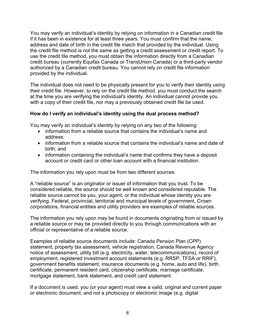You may verify an individual's identity by relying on information in a Canadian credit file if it has been in existence for at least three years. You must confirm that the name, address and date of birth in the credit file match that provided by the individual. Using the credit file method is not the same as getting a credit assessment or credit report. To use the credit file method, you must obtain the information directly from a Canadian credit bureau (currently Equifax Canada or TransUnion Canada) or a third-party vendor authorized by a Canadian credit bureau. You cannot rely on credit file information provided by the individual.

The individual does not need to be physically present for you to verify their identity using their credit file. However, to rely on the credit file method, you must conduct the search at the time you are verifying the individual's identity. An individual cannot provide you with a copy of their credit file, nor may a previously obtained credit file be used.

#### **How do I verify an individual's identity using the dual process method?**

You may verify an individual's identity by relying on any two of the following:

- information from a reliable source that contains the individual's name and address;
- information from a reliable source that contains the individual's name and date of birth; and
- information containing the individual's name that confirms they have a deposit account or credit card or other loan account with a financial institution.

The information you rely upon must be from two different sources.

A "reliable source" is an originator or issuer of information that you trust. To be considered reliable, the source should be well known and considered reputable. The reliable source cannot be you, your agent, or the individual whose identity you are verifying. Federal, provincial, territorial and municipal levels of government, Crown corporations, financial entities and utility providers are examples of reliable sources.

The information you rely upon may be found in documents originating from or issued by a reliable source or may be provided directly to you through communications with an official or representative of a reliable source.

Examples of reliable source documents include: Canada Pension Plan (CPP) statement, property tax assessment, vehicle registration, Canada Revenue Agency notice of assessment, utility bill (e.g. electricity, water, telecommunications), record of employment, registered investment account statements (e.g. RRSP, TFSA or RRIF), government benefits statement, insurance documents (e.g. home, auto and life), birth certificate, permanent resident card, citizenship certificate, marriage certificate, mortgage statement, bank statement, and credit card statement.

If a document is used, you (or your agent) must view a valid, original and current paper or electronic document, and not a photocopy or electronic image (e.g. digital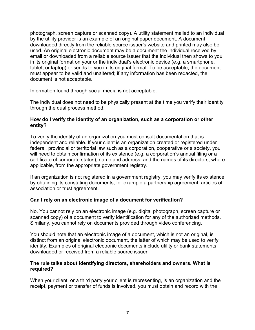photograph, screen capture or scanned copy). A utility statement mailed to an individual by the utility provider is an example of an original paper document. A document downloaded directly from the reliable source issuer's website and printed may also be used. An original electronic document may be a document the individual received by email or downloaded from a reliable source issuer that the individual then shows to you in its original format on your or the individual's electronic device (e.g. a smartphone, tablet, or laptop) or sends to you in its original format. To be acceptable, the document must appear to be valid and unaltered; if any information has been redacted, the document is not acceptable.

Information found through social media is not acceptable.

The individual does not need to be physically present at the time you verify their identity through the dual process method.

#### **How do I verify the identity of an organization, such as a corporation or other entity?**

To verify the identity of an organization you must consult documentation that is independent and reliable. If your client is an organization created or registered under federal, provincial or territorial law such as a corporation, cooperative or a society, you will need to obtain confirmation of its existence (e.g. a corporation's annual filing or a certificate of corporate status), name and address, and the names of its directors, where applicable, from the appropriate government registry.

If an organization is not registered in a government registry, you may verify its existence by obtaining its constating documents, for example a partnership agreement, articles of association or trust agreement.

#### **Can I rely on an electronic image of a document for verification?**

No. You cannot rely on an electronic image (e.g. digital photograph, screen capture or scanned copy) of a document to verify identification for any of the authorized methods. Similarly, you cannot rely on documents provided through video conferencing.

You should note that an electronic image of a document, which is not an original, is distinct from an original electronic document, the latter of which may be used to verify identity. Examples of original electronic documents include utility or bank statements downloaded or received from a reliable source issuer.

#### **The rule talks about identifying directors, shareholders and owners. What is required?**

When your client, or a third party your client is representing, is an organization and the receipt, payment or transfer of funds is involved, you must obtain and record with the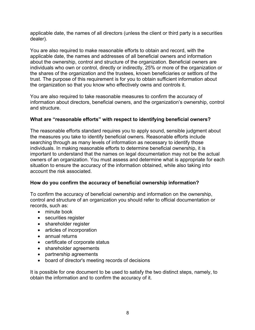applicable date, the names of all directors (unless the client or third party is a securities dealer).

You are also required to make reasonable efforts to obtain and record, with the applicable date, the names and addresses of all beneficial owners and information about the ownership, control and structure of the organization. Beneficial owners are individuals who own or control, directly or indirectly, 25% or more of the organization or the shares of the organization and the trustees, known beneficiaries or settlors of the trust. The purpose of this requirement is for you to obtain sufficient information about the organization so that you know who effectively owns and controls it.

You are also required to take reasonable measures to confirm the accuracy of information about directors, beneficial owners, and the organization's ownership, control and structure.

#### **What are "reasonable efforts" with respect to identifying beneficial owners?**

The reasonable efforts standard requires you to apply sound, sensible judgment about the measures you take to identify beneficial owners. Reasonable efforts include searching through as many levels of information as necessary to identify those individuals. In making reasonable efforts to determine beneficial ownership, it is important to understand that the names on legal documentation may not be the actual owners of an organization. You must assess and determine what is appropriate for each situation to ensure the accuracy of the information obtained, while also taking into account the risk associated.

#### **How do you confirm the accuracy of beneficial ownership information?**

To confirm the accuracy of beneficial ownership and information on the ownership, control and structure of an organization you should refer to official documentation or records, such as:

- minute book
- securities register
- shareholder register
- articles of incorporation
- annual returns
- certificate of corporate status
- shareholder agreements
- partnership agreements
- board of director's meeting records of decisions

It is possible for one document to be used to satisfy the two distinct steps, namely, to obtain the information and to confirm the accuracy of it.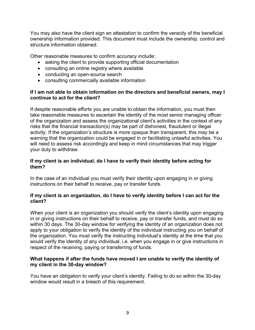You may also have the client sign an attestation to confirm the veracity of the beneficial ownership information provided. This document must include the ownership, control and structure information obtained.

Other reasonable measures to confirm accuracy include:

- asking the client to provide supporting official documentation
- consulting an online registry where available
- conducting an open-source search
- consulting commercially available information

#### **If I am not able to obtain information on the directors and beneficial owners, may I continue to act for the client?**

If despite reasonable efforts you are unable to obtain the information, you must then take reasonable measures to ascertain the identity of the most senior managing officer of the organization and assess the organizational client's activities in the context of any risks that the financial transaction(s) may be part of dishonest, fraudulent or illegal activity. If the organization's structure is more opaque than transparent, this may be a warning that the organization could be engaged in or facilitating unlawful activities. You will need to assess risk accordingly and keep in mind circumstances that may trigger your duty to withdraw.

#### **If my client is an individual, do I have to verify their identity before acting for them?**

In the case of an individual you must verify their identity upon engaging in or giving instructions on their behalf to receive, pay or transfer funds.

#### **If my client is an organization, do I have to verify identity before I can act for the client?**

When your client is an organization you should verify the client's identity upon engaging in or giving instructions on their behalf to receive, pay or transfer funds, and must do so within 30 days. The 30-day window for verifying the identity of an organization does not apply to your obligation to verify the identity of the individual instructing you on behalf of the organization. You must verify the instructing individual's identity at the time that you would verify the identity of any individual, i.e. when you engage in or give instructions in respect of the receiving, paying or transferring of funds.

#### **What happens if after the funds have moved I am unable to verify the identity of my client in the 30-day window?**

You have an obligation to verify your client's identity. Failing to do so within the 30-day window would result in a breach of this requirement.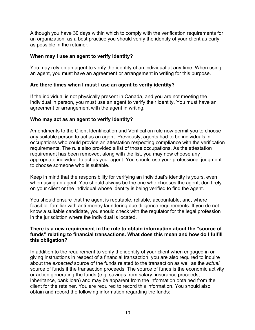Although you have 30 days within which to comply with the verification requirements for an organization, as a best practice you should verify the identity of your client as early as possible in the retainer.

#### **When may I use an agent to verify identity?**

You may rely on an agent to verify the identity of an individual at any time. When using an agent, you must have an agreement or arrangement in writing for this purpose.

#### **Are there times when I must I use an agent to verify identity?**

If the individual is not physically present in Canada, and you are not meeting the individual in person, you must use an agent to verify their identity. You must have an agreement or arrangement with the agent in writing.

#### **Who may act as an agent to verify identity?**

Amendments to the Client Identification and Verification rule now permit you to choose any suitable person to act as an agent. Previously, agents had to be individuals in occupations who could provide an attestation respecting compliance with the verification requirements. The rule also provided a list of those occupations. As the attestation requirement has been removed, along with the list, you may now choose any appropriate individual to act as your agent. You should use your professional judgment to choose someone who is suitable.

Keep in mind that the responsibility for verifying an individual's identity is yours, even when using an agent. You should always be the one who chooses the agent; don't rely on your client or the individual whose identity is being verified to find the agent.

You should ensure that the agent is reputable, reliable, accountable, and, where feasible, familiar with anti-money laundering due diligence requirements. If you do not know a suitable candidate, you should check with the regulator for the legal profession in the jurisdiction where the individual is located.

#### **There is a new requirement in the rule to obtain information about the "source of funds" relating to financial transactions. What does this mean and how do I fulfill this obligation?**

In addition to the requirement to verify the identity of your client when engaged in or giving instructions in respect of a financial transaction, you are also required to inquire about the *expected* source of the funds related to the transaction as well as the *actual* source of funds if the transaction proceeds. The source of funds is the economic activity or action generating the funds (e.g. savings from salary, insurance proceeds, inheritance, bank loan) and may be apparent from the information obtained from the client for the retainer. You are required to record this information. You should also obtain and record the following information regarding the funds: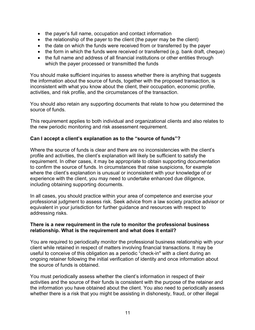- the payer's full name, occupation and contact information
- the relationship of the payer to the client (the payer may be the client)
- the date on which the funds were received from or transferred by the payer
- the form in which the funds were received or transferred (e.g. bank draft, cheque)
- the full name and address of all financial institutions or other entities through which the payer processed or transmitted the funds

You should make sufficient inquiries to assess whether there is anything that suggests the information about the source of funds, together with the proposed transaction, is inconsistent with what you know about the client, their occupation, economic profile, activities, and risk profile, and the circumstances of the transaction.

You should also retain any supporting documents that relate to how you determined the source of funds.

This requirement applies to both individual and organizational clients and also relates to the new periodic monitoring and risk assessment requirement.

#### **Can I accept a client's explanation as to the "source of funds"?**

Where the source of funds is clear and there are no inconsistencies with the client's profile and activities, the client's explanation will likely be sufficient to satisfy the requirement. In other cases, it may be appropriate to obtain supporting documentation to confirm the source of funds. In circumstances that raise suspicions, for example where the client's explanation is unusual or inconsistent with your knowledge of or experience with the client, you may need to undertake enhanced due diligence, including obtaining supporting documents.

In all cases, you should practice within your area of competence and exercise your professional judgment to assess risk. Seek advice from a law society practice advisor or equivalent in your jurisdiction for further guidance and resources with respect to addressing risks.

#### **There is a new requirement in the rule to monitor the professional business relationship. What is the requirement and what does it entail?**

You are required to periodically monitor the professional business relationship with your client while retained in respect of matters involving financial transactions. It may be useful to conceive of this obligation as a periodic "check-in" with a client during an ongoing retainer following the initial verification of identity and once information about the source of funds is obtained.

You must periodically assess whether the client's information in respect of their activities and the source of their funds is consistent with the purpose of the retainer and the information you have obtained about the client. You also need to periodically assess whether there is a risk that you might be assisting in dishonesty, fraud, or other illegal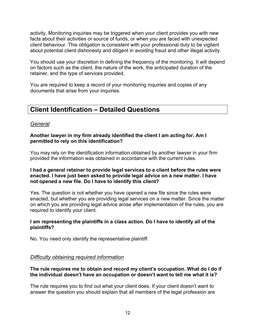activity. Monitoring inquiries may be triggered when your client provides you with new facts about their activities or source of funds, or when you are faced with unexpected client behaviour. This obligation is consistent with your professional duty to be vigilant about potential client dishonesty and diligent in avoiding fraud and other illegal activity.

You should use your discretion in defining the frequency of the monitoring. It will depend on factors such as the client, the nature of the work, the anticipated duration of the retainer, and the type of services provided.

You are required to keep a record of your monitoring inquiries and copies of any documents that arise from your inquiries.

### **Client Identification – Detailed Questions**

#### *General*

#### **Another lawyer in my firm already identified the client I am acting for. Am I permitted to rely on this identification?**

You may rely on the identification information obtained by another lawyer in your firm provided the information was obtained in accordance with the current rules.

#### **I had a general retainer to provide legal services to a client before the rules were enacted. I have just been asked to provide legal advice on a new matter. I have not opened a new file. Do I have to identify this client?**

Yes. The question is not whether you have opened a new file since the rules were enacted, but whether you are providing legal services on a new matter. Since the matter on which you are providing legal advice arose after implementation of the rules, you are required to identify your client.

#### **I am representing the plaintiffs in a class action. Do I have to identify all of the plaintiffs?**

No. You need only identify the representative plaintiff.

#### *Difficulty obtaining required information*

#### **The rule requires me to obtain and record my client's occupation. What do I do if the individual doesn't have an occupation or doesn't want to tell me what it is?**

The rule requires you to find out what your client does. If your client doesn't want to answer the question you should explain that all members of the legal profession are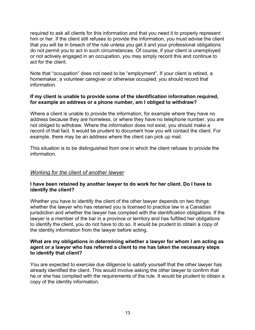required to ask all clients for this information and that you need it to properly represent him or her. If the client still refuses to provide the information, you must advise the client that you will be in breach of the rule unless you get it and your professional obligations do not permit you to act in such circumstances. Of course, if your client is unemployed or not actively engaged in an occupation, you may simply record this and continue to act for the client.

Note that "occupation" does not need to be "employment". If your client is retired, a homemaker, a volunteer caregiver or otherwise occupied, you should record that information.

#### **If my client is unable to provide some of the identification information required, for example an address or a phone number, am I obliged to withdraw?**

Where a client is unable to provide the information, for example where they have no address because they are homeless, or where they have no telephone number, you are not obliged to withdraw. Where the information does not exist, you should make a record of that fact. It would be prudent to document how you will contact the client. For example, there may be an address where the client can pick up mail.

This situation is to be distinguished from one in which the client refuses to provide the information.

#### *Working for the client of another lawyer*

#### **I have been retained by another lawyer to do work for her client. Do I have to identify the client?**

Whether you have to identify the client of the other lawyer depends on two things: whether the lawyer who has retained you is licensed to practice law in a Canadian jurisdiction and whether the lawyer has complied with the identification obligations. If the lawyer is a member of the bar in a province or territory and has fulfilled her obligations to identify the client, you do not have to do so. It would be prudent to obtain a copy of the identity information from the lawyer before acting.

#### **What are my obligations in determining whether a lawyer for whom I am acting as agent or a lawyer who has referred a client to me has taken the necessary steps to identify that client?**

You are expected to exercise due diligence to satisfy yourself that the other lawyer has already identified the client. This would involve asking the other lawyer to confirm that he or she has complied with the requirements of the rule. It would be prudent to obtain a copy of the identity information.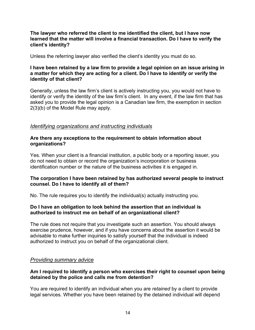**The lawyer who referred the client to me identified the client, but I have now learned that the matter will involve a financial transaction. Do I have to verify the client's identity?**

Unless the referring lawyer also verified the client's identity you must do so.

#### **I have been retained by a law firm to provide a legal opinion on an issue arising in a matter for which they are acting for a client. Do I have to identify or verify the identity of that client?**

Generally, unless the law firm's client is actively instructing you, you would not have to identify or verify the identity of the law firm's client. In any event, if the law firm that has asked you to provide the legal opinion is a Canadian law firm, the exemption in section 2(3)(b) of the Model Rule may apply.

#### *Identifying organizations and instructing individuals*

#### **Are there any exceptions to the requirement to obtain information about organizations?**

Yes. When your client is a financial institution, a public body or a reporting issuer, you do not need to obtain or record the organization's incorporation or business identification number or the nature of the business activities it is engaged in.

#### **The corporation I have been retained by has authorized several people to instruct counsel. Do I have to identify all of them?**

No. The rule requires you to identify the individual(s) actually instructing you.

#### **Do I have an obligation to look behind the assertion that an individual is authorized to instruct me on behalf of an organizational client?**

The rule does not require that you investigate such an assertion. You should always exercise prudence, however, and if you have concerns about the assertion it would be advisable to make further inquiries to satisfy yourself that the individual is indeed authorized to instruct you on behalf of the organizational client.

#### *Providing summary advice*

#### **Am I required to identify a person who exercises their right to counsel upon being detained by the police and calls me from detention?**

You are required to identify an individual when you are *retained* by a client to provide legal services. Whether you have been retained by the detained individual will depend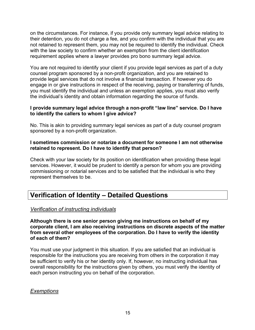on the circumstances. For instance, if you provide only summary legal advice relating to their detention, you do not charge a fee, and you confirm with the individual that you are not retained to represent them, you may not be required to identify the individual. Check with the law society to confirm whether an exemption from the client identification requirement applies where a lawyer provides pro bono summary legal advice.

You are not required to identify your client if you provide legal services as part of a duty counsel program sponsored by a non-profit organization, and you are retained to provide legal services that do not involve a financial transaction. If however you do engage in or give instructions in respect of the receiving, paying or transferring of funds, you must identify the individual and unless an exemption applies, you must also verify the individual's identity and obtain information regarding the source of funds.

#### **I provide summary legal advice through a non-profit "law line" service. Do I have to identify the callers to whom I give advice?**

No. This is akin to providing summary legal services as part of a duty counsel program sponsored by a non-profit organization.

#### **I sometimes commission or notarize a document for someone I am not otherwise retained to represent. Do I have to identify that person?**

Check with your law society for its position on identification when providing these legal services. However, it would be prudent to identify a person for whom you are providing commissioning or notarial services and to be satisfied that the individual is who they represent themselves to be.

## **Verification of Identity – Detailed Questions**

#### *Verification of instructing individuals*

**Although there is one senior person giving me instructions on behalf of my corporate client, I am also receiving instructions on discrete aspects of the matter from several other employees of the corporation. Do I have to verify the identity of each of them?**

You must use your judgment in this situation. If you are satisfied that an individual is responsible for the instructions you are receiving from others in the corporation it may be sufficient to verify his or her identity only. If, however, no instructing individual has overall responsibility for the instructions given by others, you must verify the identity of each person instructing you on behalf of the corporation.

#### *Exemptions*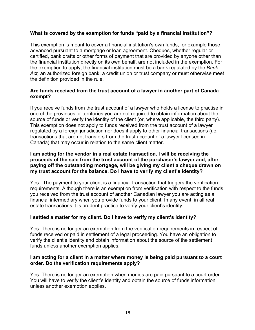#### **What is covered by the exemption for funds "paid by a financial institution"?**

This exemption is meant to cover a financial institution's own funds, for example those advanced pursuant to a mortgage or loan agreement. Cheques, whether regular or certified, bank drafts or other forms of payment that are provided by anyone other than the financial institution directly on its own behalf, are not included in the exemption. For the exemption to apply, the financial institution must be a bank regulated by the *Bank Act,* an authorized foreign bank, a credit union or trust company or must otherwise meet the definition provided in the rule.

#### **Are funds received from the trust account of a lawyer in another part of Canada exempt?**

If you receive funds from the trust account of a lawyer who holds a license to practise in one of the provinces or territories you are not required to obtain information about the source of funds or verify the identity of the client (or, where applicable, the third party). This exemption does not apply to funds received from the trust account of a lawyer regulated by a foreign jurisdiction nor does it apply to other financial transactions (i.e. transactions that are not transfers from the trust account of a lawyer licensed in Canada) that may occur in relation to the same client matter.

#### **I am acting for the vendor in a real estate transaction. I will be receiving the proceeds of the sale from the trust account of the purchaser's lawyer and, after paying off the outstanding mortgage, will be giving my client a cheque drawn on my trust account for the balance. Do I have to verify my client's identity?**

Yes. The payment to your client is a financial transaction that triggers the verification requirements. Although there is an exemption from verification with respect to the funds you received from the trust account of another Canadian lawyer you are acting as a financial intermediary when you provide funds to your client. In any event, in all real estate transactions it is prudent practice to verify your client's identity.

#### **I settled a matter for my client. Do I have to verify my client's identity?**

Yes. There is no longer an exemption from the verification requirements in respect of funds received or paid in settlement of a legal proceeding. You have an obligation to verify the client's identity and obtain information about the source of the settlement funds unless another exemption applies.

#### **I am acting for a client in a matter where money is being paid pursuant to a court order. Do the verification requirements apply?**

Yes. There is no longer an exemption when monies are paid pursuant to a court order. You will have to verify the client's identity and obtain the source of funds information unless another exemption applies.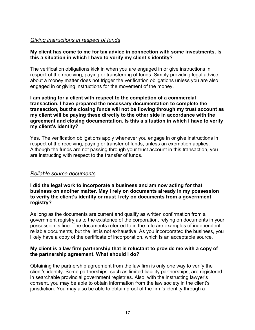#### *Giving instructions in respect of funds*

#### **My client has come to me for tax advice in connection with some investments. Is this a situation in which I have to verify my client's identity?**

The verification obligations kick in when you are engaged in or give instructions in respect of the receiving, paying or transferring of funds. Simply providing legal advice about a money matter does not trigger the verification obligations unless you are also engaged in or giving instructions for the movement of the money.

**I am acting for a client with respect to the completion of a commercial transaction. I have prepared the necessary documentation to complete the transaction, but the closing funds will not be flowing through my trust account as my client will be paying these directly to the other side in accordance with the agreement and closing documentation. Is this a situation in which I have to verify my client's identity?**

Yes. The verification obligations apply whenever you engage in or give instructions in respect of the receiving, paying or transfer of funds, unless an exemption applies. Although the funds are not passing through your trust account in this transaction, you are instructing with respect to the transfer of funds.

#### *Reliable source documents*

**I did the legal work to incorporate a business and am now acting for that business on another matter. May I rely on documents already in my possession to verify the client's identity or must I rely on documents from a government registry?**

As long as the documents are current and qualify as written confirmation from a government registry as to the existence of the corporation, relying on documents in your possession is fine. The documents referred to in the rule are examples of independent, reliable documents, but the list is not exhaustive. As you incorporated the business, you likely have a copy of the certificate of incorporation, which is an acceptable source.

#### **My client is a law firm partnership that is reluctant to provide me with a copy of the partnership agreement. What should I do?**

Obtaining the partnership agreement from the law firm is only one way to verify the client's identity. Some partnerships, such as limited liability partnerships, are registered in searchable provincial government registries. Also, with the instructing lawyer's consent, you may be able to obtain information from the law society in the client's jurisdiction. You may also be able to obtain proof of the firm's identity through a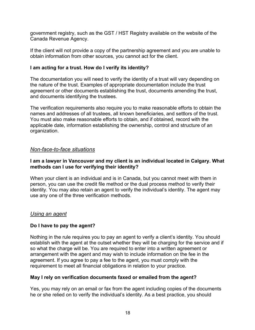government registry, such as the GST / HST Registry available on the website of the Canada Revenue Agency.

If the client will not provide a copy of the partnership agreement and you are unable to obtain information from other sources, you cannot act for the client.

#### **I am acting for a trust. How do I verify its identity?**

The documentation you will need to verify the identity of a trust will vary depending on the nature of the trust. Examples of appropriate documentation include the trust agreement or other documents establishing the trust, documents amending the trust, and documents identifying the trustees.

The verification requirements also require you to make reasonable efforts to obtain the names and addresses of all trustees, all known beneficiaries, and settlors of the trust. You must also make reasonable efforts to obtain, and if obtained, record with the applicable date, information establishing the ownership, control and structure of an organization.

#### *Non-face-to-face situations*

#### **I am a lawyer in Vancouver and my client is an individual located in Calgary. What methods can I use for verifying their identity?**

When your client is an individual and is in Canada, but you cannot meet with them in person, you can use the credit file method or the dual process method to verify their identity. You may also retain an agent to verify the individual's identity. The agent may use any one of the three verification methods.

#### *Using an agent*

#### **Do I have to pay the agent?**

Nothing in the rule requires you to pay an agent to verify a client's identity. You should establish with the agent at the outset whether they will be charging for the service and if so what the charge will be. You are required to enter into a written agreement or arrangement with the agent and may wish to include information on the fee in the agreement. If you agree to pay a fee to the agent, you must comply with the requirement to meet all financial obligations in relation to your practice.

#### **May I rely on verification documents faxed or emailed from the agent?**

Yes, you may rely on an email or fax from the agent including copies of the documents he or she relied on to verify the individual's identity. As a best practice, you should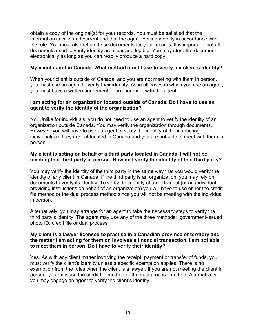obtain a copy of the original(s) for your records. You must be satisfied that the information is valid and current and that the agent verified identity in accordance with the rule. You must also retain these documents for your records. It is important that all documents used to verify identity are clear and legible. You may store the document electronically as long as you can readily produce a hard copy.

#### **My client is not in Canada. What method must I use to verify my client's identity?**

When your client is outside of Canada, and you are not meeting with them in person, you must use an agent to verify their identity. As in all cases in which you use an agent, you must have a written agreement or arrangement with the agent.

#### **I am acting for an organization located outside of Canada. Do I have to use an agent to verify the identity of the organization?**

No. Unlike for individuals, you do not need to use an agent to verify the identity of an organization outside Canada. You may verify the organization through documents. However, you will have to use an agent to verify the identity of the instructing individual(s) if they are not located in Canada and you are not able to meet with them in person.

#### **My client is acting on behalf of a third party located in Canada. I will not be meeting that third party in person. How do I verify the identity of this third party?**

You may verify the identity of the third party in the same way that you would verify the identity of any client in Canada. If the third party is an organization, you may rely on documents to verify its identity. To verify the identity of an individual (or an individual providing instructions on behalf of an organization) you will have to use either the credit file method or the dual process method since you will not be meeting with the individual in person.

Alternatively, you may arrange for an agent to take the necessary steps to verify the third party's identity. The agent may use any of the three methods: government-issued photo ID, credit file or dual process.

#### **My client is a lawyer licensed to practise in a Canadian province or territory and the matter I am acting for them on involves a financial transaction. I am not able to meet them in person. Do I have to verify their identity?**

Yes. As with any client matter involving the receipt, payment or transfer of funds, you must verify the client's identity unless a specific exemption applies. There is no exemption from the rules when the client is a lawyer. If you are not meeting the client in person, you may use the credit file method or the dual process method. Alternatively, you may engage an agent to verify the client's identity.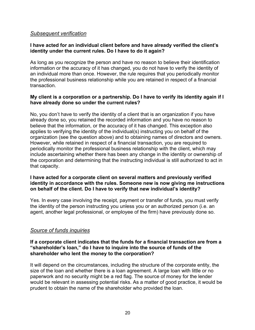#### *Subsequent verification*

#### **I have acted for an individual client before and have already verified the client's identity under the current rules. Do I have to do it again?**

As long as you recognize the person and have no reason to believe their identification information or the accuracy of it has changed, you do not have to verify the identity of an individual more than once. However, the rule requires that you periodically monitor the professional business relationship while you are retained in respect of a financial transaction.

#### **My client is a corporation or a partnership. Do I have to verify its identity again if I have already done so under the current rules?**

No, you don't have to verify the identity of a client that is an organization if you have already done so, you retained the recorded information and you have no reason to believe that the information, or the accuracy of it has changed. This exception also applies to verifying the identity of the individual(s) instructing you on behalf of the organization (see the question above) and to obtaining names of directors and owners. However, while retained in respect of a financial transaction, you are required to periodically monitor the professional business relationship with the client, which may include ascertaining whether there has been any change in the identity or ownership of the corporation and determining that the instructing individual is still authorized to act in that capacity.

#### **I have acted for a corporate client on several matters and previously verified identity in accordance with the rules. Someone new is now giving me instructions on behalf of the client. Do I have to verify that new individual's identity?**

Yes. In every case involving the receipt, payment or transfer of funds, you must verify the identity of the person instructing you unless you or an authorized person (i.e. an agent, another legal professional, or employee of the firm) have previously done so.

#### *Source of funds inquiries*

#### **If a corporate client indicates that the funds for a financial transaction are from a "shareholder's loan," do I have to inquire into the source of funds of the shareholder who lent the money to the corporation?**

It will depend on the circumstances, including the structure of the corporate entity, the size of the loan and whether there is a loan agreement. A large loan with little or no paperwork and no security might be a red flag. The source of money for the lender would be relevant in assessing potential risks. As a matter of good practice, it would be prudent to obtain the name of the shareholder who provided the loan.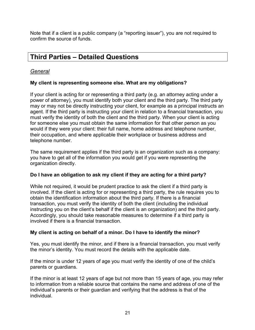Note that if a client is a public company (a "reporting issuer"), you are not required to confirm the source of funds.

## **Third Parties – Detailed Questions**

#### *General*

#### **My client is representing someone else. What are my obligations?**

If your client is acting for or representing a third party (e.g. an attorney acting under a power of attorney), you must identify both your client and the third party. The third party may or may not be directly instructing your client, for example as a principal instructs an agent. If the third party is instructing your client in relation to a financial transaction, you must verify the identity of both the client and the third party. When your client is acting for someone else you must obtain the same information for that other person as you would if they were your client: their full name, home address and telephone number, their occupation, and where applicable their workplace or business address and telephone number.

The same requirement applies if the third party is an organization such as a company: you have to get all of the information you would get if you were representing the organization directly.

#### **Do I have an obligation to ask my client if they are acting for a third party?**

While not required, it would be prudent practice to ask the client if a third party is involved. If the client is acting for or representing a third party, the rule requires you to obtain the identification information about the third party. If there is a financial transaction, you must verify the identity of both the client (including the individual instructing you on the client's behalf if the client is an organization) and the third party. Accordingly, you should take reasonable measures to determine if a third party is involved if there is a financial transaction.

#### **My client is acting on behalf of a minor. Do I have to identify the minor?**

Yes, you must identify the minor, and if there is a financial transaction, you must verify the minor's identity. You must record the details with the applicable date.

If the minor is under 12 years of age you must verify the identity of one of the child's parents or guardians.

If the minor is at least 12 years of age but not more than 15 years of age, you may refer to information from a reliable source that contains the name and address of one of the individual's parents or their guardian and verifying that the address is that of the individual.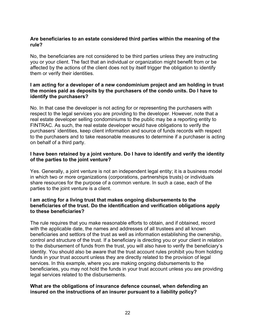#### **Are beneficiaries to an estate considered third parties within the meaning of the rule?**

No, the beneficiaries are not considered to be third parties unless they are instructing you or your client. The fact that an individual or organization might benefit from or be affected by the actions of the client does not by itself trigger the obligation to identify them or verify their identities.

#### **I am acting for a developer of a new condominium project and am holding in trust the monies paid as deposits by the purchasers of the condo units. Do I have to identify the purchasers?**

No. In that case the developer is not acting for or representing the purchasers with respect to the legal services you are providing to the developer. However, note that a real estate developer selling condominiums to the public may be a reporting entity to FINTRAC. As such, the real estate developer would have obligations to verify the purchasers' identities, keep client information and source of funds records with respect to the purchasers and to take reasonable measures to determine if a purchaser is acting on behalf of a third party.

#### **I have been retained by a joint venture. Do I have to identify and verify the identity of the parties to the joint venture?**

Yes. Generally, a joint venture is not an independent legal entity; it is a business model in which two or more organizations (corporations, partnerships trusts) or individuals share resources for the purpose of a common venture. In such a case, each of the parties to the joint venture is a client.

#### **I am acting for a living trust that makes ongoing disbursements to the beneficiaries of the trust. Do the identification and verification obligations apply to these beneficiaries?**

The rule requires that you make reasonable efforts to obtain, and if obtained, record with the applicable date, the names and addresses of all trustees and all known beneficiaries and settlors of the trust as well as information establishing the ownership, control and structure of the trust. If a beneficiary is directing you or your client in relation to the disbursement of funds from the trust, you will also have to verify the beneficiary's identity. You should also be aware that the trust account rules prohibit you from holding funds in your trust account unless they are directly related to the provision of legal services. In this example, where you are making ongoing disbursements to the beneficiaries, you may not hold the funds in your trust account unless you are providing legal services related to the disbursements.

#### **What are the obligations of insurance defence counsel, when defending an insured on the instructions of an insurer pursuant to a liability policy?**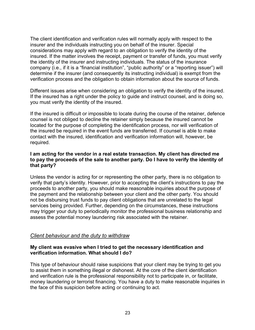The client identification and verification rules will normally apply with respect to the insurer and the individuals instructing you on behalf of the insurer. Special considerations may apply with regard to an obligation to verify the identity of the insured. If the matter involves the receipt, payment or transfer of funds, you must verify the identity of the insurer and instructing individuals. The status of the insurance company (i.e., if it is a "financial institution", "public authority" or a "reporting issuer") will determine if the insurer (and consequently its instructing individual) is exempt from the verification process and the obligation to obtain information about the source of funds.

Different issues arise when considering an obligation to verify the identity of the insured. If the insured has a right under the policy to guide and instruct counsel, and is doing so, you must verify the identity of the insured.

If the insured is difficult or impossible to locate during the course of the retainer, defence counsel is not obliged to decline the retainer simply because the insured cannot be located for the purpose of completing the identification process, nor will verification of the insured be required in the event funds are transferred. If counsel is able to make contact with the insured, identification and verification information will, however, be required.

#### **I am acting for the vendor in a real estate transaction. My client has directed me to pay the proceeds of the sale to another party. Do I have to verify the identity of that party?**

Unless the vendor is acting for or representing the other party, there is no obligation to verify that party's identity. However, prior to accepting the client's instructions to pay the proceeds to another party, you should make reasonable inquiries about the purpose of the payment and the relationship between your client and the other party. You should not be disbursing trust funds to pay client obligations that are unrelated to the legal services being provided. Further, depending on the circumstances, these instructions may trigger your duty to periodically monitor the professional business relationship and assess the potential money laundering risk associated with the retainer.

#### *Client behaviour and the duty to withdraw*

#### **My client was evasive when I tried to get the necessary identification and verification information. What should I do?**

This type of behaviour should raise suspicions that your client may be trying to get you to assist them in something illegal or dishonest. At the core of the client identification and verification rule is the professional responsibility not to participate in, or facilitate, money laundering or terrorist financing. You have a duty to make reasonable inquiries in the face of this suspicion before acting or continuing to act.